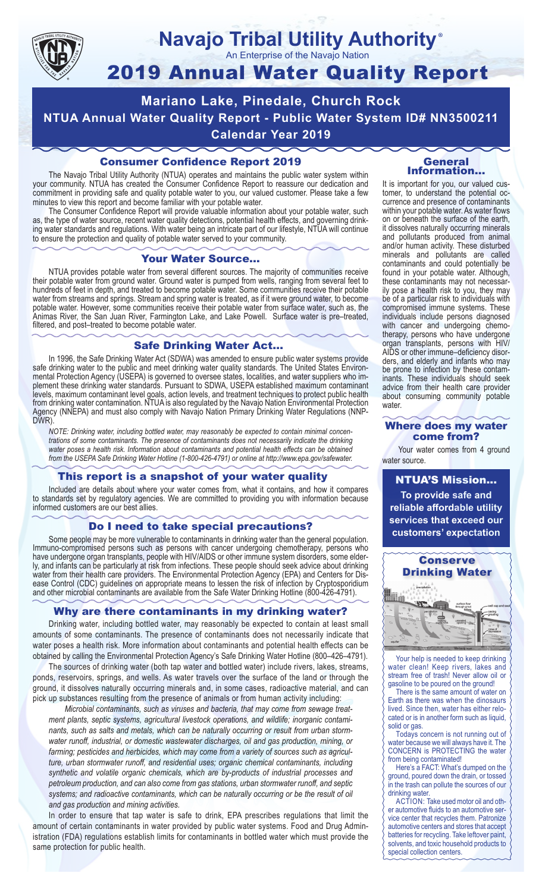

#### **Navajo Tribal Utility Authority** ®

An Enterprise of the Navajo Nation

# 2019 Annual Water Quality Report

**Mariano Lake, Pinedale, Church Rock NTUA Annual Water Quality Report - Public Water System ID# NN3500211 Calendar Year 2019**

## Consumer Confidence Report 2019

The Navajo Tribal Utility Authority (NTUA) operates and maintains the public water system within your community. NTUA has created the Consumer Confidence Report to reassure our dedication and commitment in providing safe and quality potable water to you, our valued customer. Please take a few minutes to view this report and become familiar with your potable water.

The Consumer Confidence Report will provide valuable information about your potable water, such as, the type of water source, recent water quality detections, potential health effects, and governing drinking water standards and regulations. With water being an intricate part of our lifestyle, NTUA will continue to ensure the protection and quality of potable water served to your community.

#### Your Water Source…

NTUA provides potable water from several different sources. The majority of communities receive their potable water from ground water. Ground water is pumped from wells, ranging from several feet to hundreds of feet in depth, and treated to become potable water. Some communities receive their potable water from streams and springs. Stream and spring water is treated, as if it were ground water, to become potable water. However, some communities receive their potable water from surface water, such as, the Animas River, the San Juan River, Farmington Lake, and Lake Powell. Surface water is pre–treated, filtered, and post–treated to become potable water.

#### Safe Drinking Water Act…

In 1996, the Safe Drinking Water Act (SDWA) was amended to ensure public water systems provide safe drinking water to the public and meet drinking water quality standards. The United States Environmental Protection Agency (USEPA) is governed to oversee states, localities, and water suppliers who implement these drinking water standards. Pursuant to SDWA, USEPA established maximum contaminant levels, maximum contaminant level goals, action levels, and treatment techniques to protect public health from drinking water contamination. NTUA is also regulated by the Navajo Nation Environmental Protection Agency (NNEPA) and must also comply with Navajo Nation Primary Drinking Water Regulations (NNP-DWR)

*NOTE: Drinking water, including bottled water, may reasonably be expected to contain minimal concentrations of some contaminants. The presence of contaminants does not necessarily indicate the drinking water poses a health risk. Information about contaminants and potential health effects can be obtained from the USEPA Safe Drinking Water Hotline (1-800-426-4791) or online at http://www.epa.gov/safewater.*

## This report is a snapshot of your water quality

Included are details about where your water comes from, what it contains, and how it compares to standards set by regulatory agencies. We are committed to providing you with information because informed customers are our best allies.

#### Do I need to take special precautions?

Some people may be more vulnerable to contaminants in drinking water than the general population. Immuno-compromised persons such as persons with cancer undergoing chemotherapy, persons who have undergone organ transplants, people with HIV/AIDS or other immune system disorders, some elderly, and infants can be particularly at risk from infections. These people should seek advice about drinking water from their health care providers. The Environmental Protection Agency (EPA) and Centers for Disease Control (CDC) guidelines on appropriate means to lessen the risk of infection by Cryptosporidium and other microbial contaminants are available from the Safe Water Drinking Hotline (800-426-4791).

## Why are there contaminants in my drinking water?

Drinking water, including bottled water, may reasonably be expected to contain at least small amounts of some contaminants. The presence of contaminants does not necessarily indicate that water poses a health risk. More information about contaminants and potential health effects can be obtained by calling the Environmental Protection Agency's Safe Drinking Water Hotline (800–426–4791).

The sources of drinking water (both tap water and bottled water) include rivers, lakes, streams, ponds, reservoirs, springs, and wells. As water travels over the surface of the land or through the ground, it dissolves naturally occurring minerals and, in some cases, radioactive material, and can pick up substances resulting from the presence of animals or from human activity including:

*Microbial contaminants, such as viruses and bacteria, that may come from sewage treatment plants, septic systems, agricultural livestock operations, and wildlife; inorganic contaminants, such as salts and metals, which can be naturally occurring or result from urban stormwater runoff, industrial, or domestic wastewater discharges, oil and gas production, mining, or farming; pesticides and herbicides, which may come from a variety of sources such as agriculture, urban stormwater runoff, and residential uses; organic chemical contaminants, including synthetic and volatile organic chemicals, which are by-products of industrial processes and petroleum production, and can also come from gas stations, urban stormwater runoff, and septic systems; and radioactive contaminants, which can be naturally occurring or be the result of oil and gas production and mining activities.*

In order to ensure that tap water is safe to drink, EPA prescribes regulations that limit the amount of certain contaminants in water provided by public water systems. Food and Drug Administration (FDA) regulations establish limits for contaminants in bottled water which must provide the same protection for public health.

#### General Information…

It is important for you, our valued customer, to understand the potential occurrence and presence of contaminants within your potable water. As water flows on or beneath the surface of the earth, it dissolves naturally occurring minerals and pollutants produced from animal and/or human activity. These disturbed minerals and pollutants are called contaminants and could potentially be found in your potable water. Although, these contaminants may not necessarily pose a health risk to you, they may be of a particular risk to individuals with compromised immune systems. These individuals include persons diagnosed with cancer and undergoing chemo-<br>therapy, persons who have undergone organ transplants, persons with HIV/ AIDS or other immune–deficiency disor- ders, and elderly and infants who may be prone to infection by these contam- inants. These individuals should seek advice from their health care provider about consuming community potable water.

#### Where does my water come from?

Your water comes from 4 ground water source.

NTUA'S Mission... **To provide safe and reliable affordable utility services that exceed our customers' expectation**



Your help is needed to keep drinking water clean! Keep rivers, lakes and stream free of trash! Never allow oil or gasoline to be poured on the ground!

There is the same amount of water on Earth as there was when the dinosaurs lived. Since then, water has either relocated or is in another form such as liquid, solid or gas.

Todays concern is not running out of water because we will always have it. The CONCERN is PROTECTING the water from being contaminated!

Here's a FACT: What's dumped on the ground, poured down the drain, or tossed in the trash can pollute the sources of our drinking water.

ACTION: Take used motor oil and other automotive fluids to an automotive service center that recycles them. Patronize automotive centers and stores that accept batteries for recycling. Take leftover paint, solvents, and toxic household products to special collection centers.